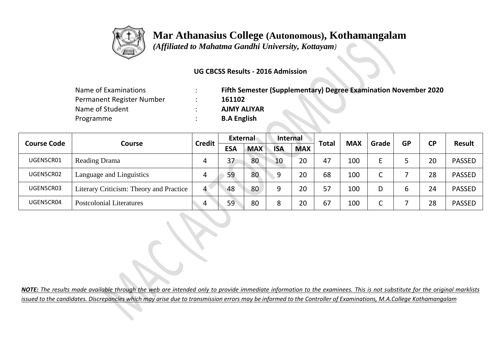

## **Mar Athanasius College (Autonomous), Kothamangalam**

 *(Affiliated to Mahatma Gandhi University, Kottayam)*

## **UG CBCSS Results - 2016 Admission**

| Name of Examinations      | Fifth Semester (Supplementary) Degree Examination November 2020 |  |  |  |  |  |  |  |
|---------------------------|-----------------------------------------------------------------|--|--|--|--|--|--|--|
| Permanent Register Number | 161102                                                          |  |  |  |  |  |  |  |
| Name of Student           | <b>AJMY ALIYAR</b>                                              |  |  |  |  |  |  |  |
| Programme                 | <b>B.A English</b>                                              |  |  |  |  |  |  |  |

|                    |                                         | <b>Credit</b> | External   |            | <b>Internal</b> |            |              | <b>MAX</b> |                 | <b>GP</b> | <b>CP</b> | <b>Result</b> |
|--------------------|-----------------------------------------|---------------|------------|------------|-----------------|------------|--------------|------------|-----------------|-----------|-----------|---------------|
| <b>Course Code</b> | Course                                  |               | <b>ESA</b> | <b>MAX</b> | <b>ISA</b>      | <b>MAX</b> | <b>Total</b> |            | Grade           |           |           |               |
| UGEN5CR01          | <b>Reading Drama</b>                    | 4             | 37         | 80         | 10              | 20         | 47           | 100        | F.              |           | 20        | <b>PASSED</b> |
| UGEN5CR02          | Language and Linguistics                | 4             | 59         | 80         | q               | 20         | 68           | 100        | $\sqrt{ }$<br>J |           | 28        | <b>PASSED</b> |
| UGEN5CR03          | Literary Criticism: Theory and Practice | 4             | 48         | 80         | q               | 20         | 57           | 100        | D               | 6         | 24        | <b>PASSED</b> |
| UGEN5CR04          | <b>Postcolonial Literatures</b>         | 4             | 59         | 80         | 8               | 20         | 67           | 100        | r<br>J          |           | 28        | <b>PASSED</b> |

*NOTE: The results made available through the web are intended only to provide immediate information to the examinees. This is not substitute for the original marklists issued to the candidates. Discrepancies which may arise due to transmission errors may be informed to the Controller of Examinations, M.A.College Kothamangalam*